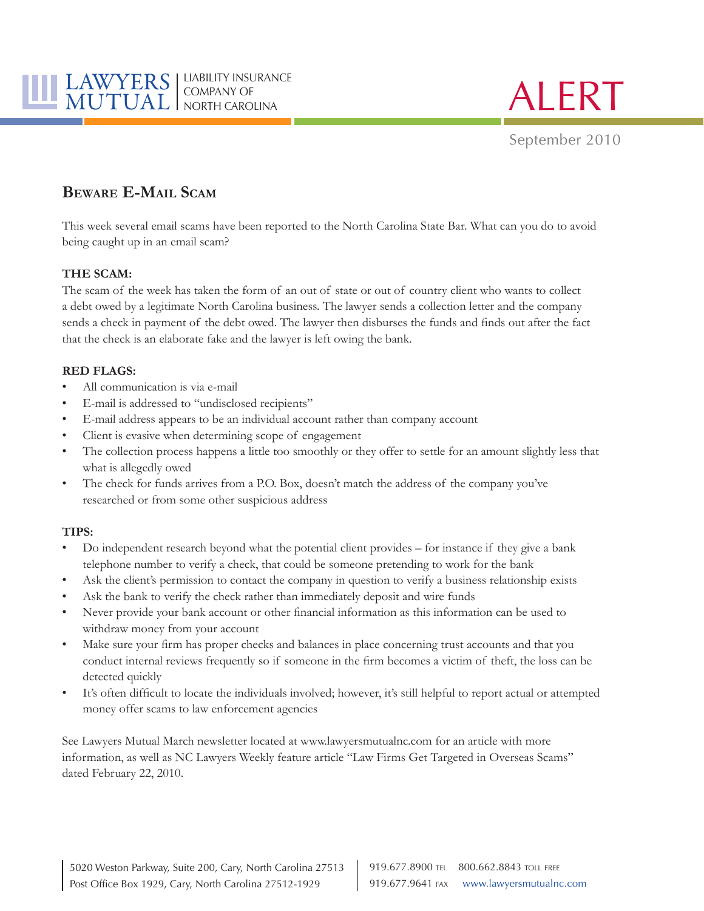

**ALERT** 

September 2010

# **Beware E-Mail Scam**

This week several email scams have been reported to the North Carolina State Bar. What can you do to avoid being caught up in an email scam?

### **THE SCAM:**

The scam of the week has taken the form of an out of state or out of country client who wants to collect a debt owed by a legitimate North Carolina business. The lawyer sends a collection letter and the company sends a check in payment of the debt owed. The lawyer then disburses the funds and finds out after the fact that the check is an elaborate fake and the lawyer is left owing the bank.

## **RED FLAGS:**

- All communication is via e-mail
- E-mail is addressed to "undisclosed recipients"
- E-mail address appears to be an individual account rather than company account
- Client is evasive when determining scope of engagement
- The collection process happens a little too smoothly or they offer to settle for an amount slightly less that what is allegedly owed
- The check for funds arrives from a P.O. Box, doesn't match the address of the company you've researched or from some other suspicious address

### **TIPS:**

- Do independent research beyond what the potential client provides for instance if they give a bank telephone number to verify a check, that could be someone pretending to work for the bank
- Ask the client's permission to contact the company in question to verify a business relationship exists
- Ask the bank to verify the check rather than immediately deposit and wire funds
- Never provide your bank account or other financial information as this information can be used to withdraw money from your account
- Make sure your firm has proper checks and balances in place concerning trust accounts and that you conduct internal reviews frequently so if someone in the firm becomes a victim of theft, the loss can be detected quickly
- It's often difficult to locate the individuals involved; however, it's still helpful to report actual or attempted money offer scams to law enforcement agencies

See Lawyers Mutual March newsletter located at <www.lawyersmutualnc.com>for an article with more information, as well as NC Lawyers Weekly feature article "Law Firms Get Targeted in Overseas Scams" dated February 22, 2010.